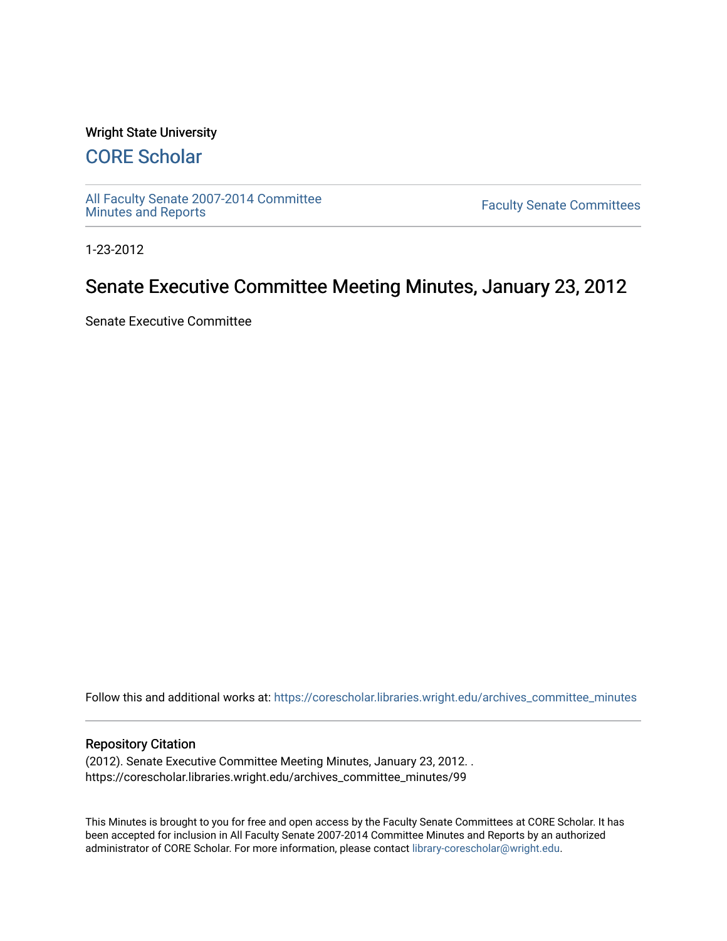## Wright State University

# [CORE Scholar](https://corescholar.libraries.wright.edu/)

[All Faculty Senate 2007-2014 Committee](https://corescholar.libraries.wright.edu/archives_committee_minutes)

**Faculty Senate Committees** 

1-23-2012

# Senate Executive Committee Meeting Minutes, January 23, 2012

Senate Executive Committee

Follow this and additional works at: [https://corescholar.libraries.wright.edu/archives\\_committee\\_minutes](https://corescholar.libraries.wright.edu/archives_committee_minutes?utm_source=corescholar.libraries.wright.edu%2Farchives_committee_minutes%2F99&utm_medium=PDF&utm_campaign=PDFCoverPages) 

#### Repository Citation

(2012). Senate Executive Committee Meeting Minutes, January 23, 2012. . https://corescholar.libraries.wright.edu/archives\_committee\_minutes/99

This Minutes is brought to you for free and open access by the Faculty Senate Committees at CORE Scholar. It has been accepted for inclusion in All Faculty Senate 2007-2014 Committee Minutes and Reports by an authorized administrator of CORE Scholar. For more information, please contact [library-corescholar@wright.edu.](mailto:library-corescholar@wright.edu)